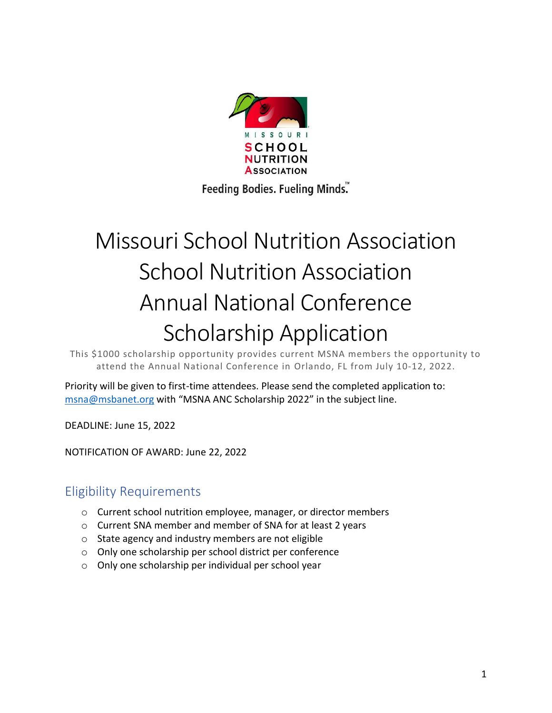

Feeding Bodies. Fueling Minds.

# Missouri School Nutrition Association School Nutrition Association Annual National Conference Scholarship Application

This \$1000 scholarship opportunity provides current MSNA members the opportunity to attend the Annual National Conference in Orlando, FL from July 10-12, 2022.

Priority will be given to first-time attendees. Please send the completed application to: [msna@msbanet.org](mailto:msna@msbanet.org) with "MSNA ANC Scholarship 2022" in the subject line.

DEADLINE: June 15, 2022

NOTIFICATION OF AWARD: June 22, 2022

## Eligibility Requirements

- o Current school nutrition employee, manager, or director members
- o Current SNA member and member of SNA for at least 2 years
- o State agency and industry members are not eligible
- o Only one scholarship per school district per conference
- o Only one scholarship per individual per school year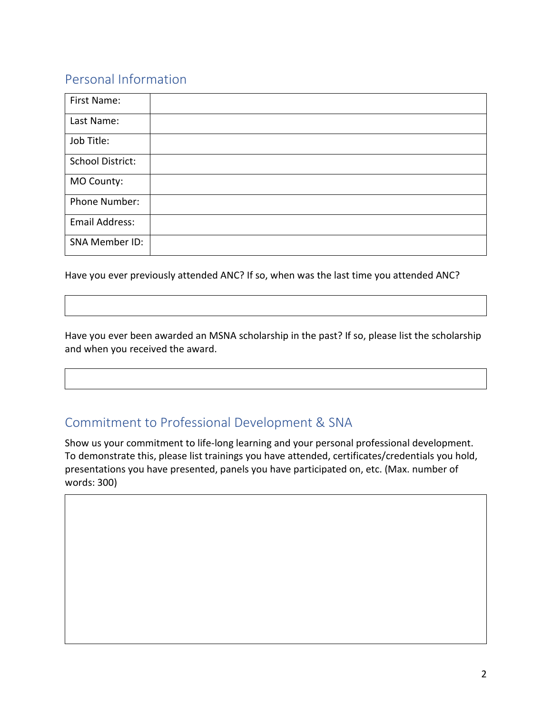## Personal Information

| First Name:             |  |
|-------------------------|--|
| Last Name:              |  |
| Job Title:              |  |
| <b>School District:</b> |  |
| MO County:              |  |
| Phone Number:           |  |
| Email Address:          |  |
| SNA Member ID:          |  |

Have you ever previously attended ANC? If so, when was the last time you attended ANC?

Have you ever been awarded an MSNA scholarship in the past? If so, please list the scholarship and when you received the award.

## Commitment to Professional Development & SNA

Show us your commitment to life-long learning and your personal professional development. To demonstrate this, please list trainings you have attended, certificates/credentials you hold, presentations you have presented, panels you have participated on, etc. (Max. number of words: 300)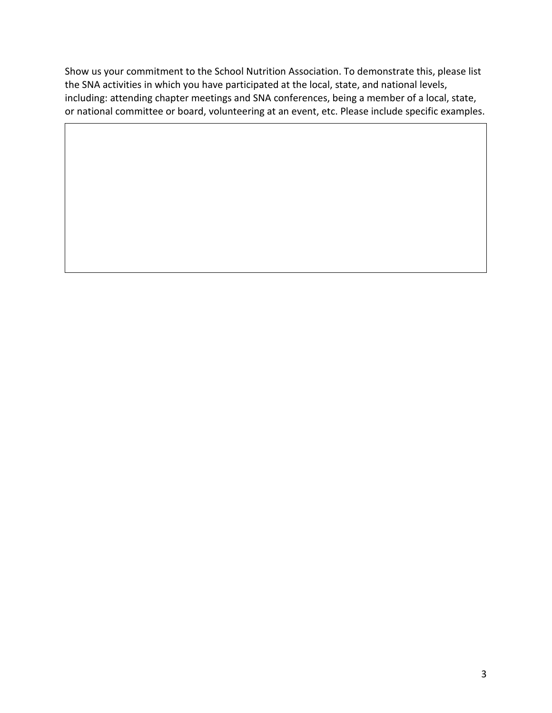Show us your commitment to the School Nutrition Association. To demonstrate this, please list the SNA activities in which you have participated at the local, state, and national levels, including: attending chapter meetings and SNA conferences, being a member of a local, state, or national committee or board, volunteering at an event, etc. Please include specific examples.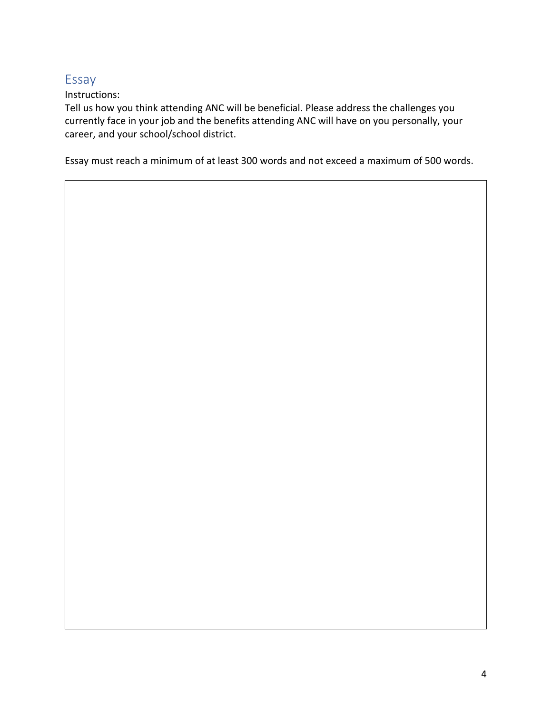### Essay

#### Instructions:

Tell us how you think attending ANC will be beneficial. Please address the challenges you currently face in your job and the benefits attending ANC will have on you personally, your career, and your school/school district.

Essay must reach a minimum of at least 300 words and not exceed a maximum of 500 words.